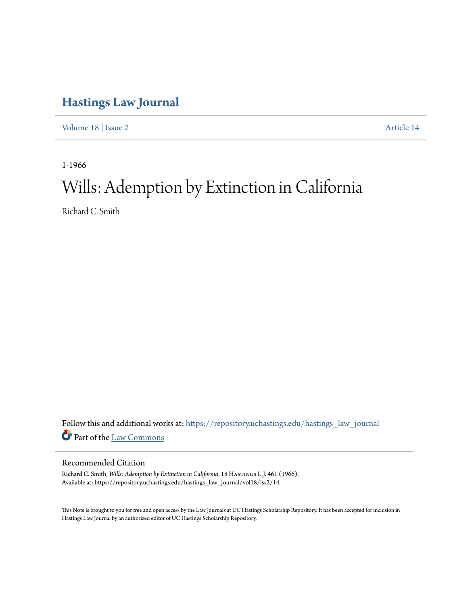# **[Hastings Law Journal](https://repository.uchastings.edu/hastings_law_journal?utm_source=repository.uchastings.edu%2Fhastings_law_journal%2Fvol18%2Fiss2%2F14&utm_medium=PDF&utm_campaign=PDFCoverPages)**

[Volume 18](https://repository.uchastings.edu/hastings_law_journal/vol18?utm_source=repository.uchastings.edu%2Fhastings_law_journal%2Fvol18%2Fiss2%2F14&utm_medium=PDF&utm_campaign=PDFCoverPages) | [Issue 2](https://repository.uchastings.edu/hastings_law_journal/vol18/iss2?utm_source=repository.uchastings.edu%2Fhastings_law_journal%2Fvol18%2Fiss2%2F14&utm_medium=PDF&utm_campaign=PDFCoverPages) [Article 14](https://repository.uchastings.edu/hastings_law_journal/vol18/iss2/14?utm_source=repository.uchastings.edu%2Fhastings_law_journal%2Fvol18%2Fiss2%2F14&utm_medium=PDF&utm_campaign=PDFCoverPages)

1-1966

# Wills: Ademption by Extinction in California

Richard C. Smith

Follow this and additional works at: [https://repository.uchastings.edu/hastings\\_law\\_journal](https://repository.uchastings.edu/hastings_law_journal?utm_source=repository.uchastings.edu%2Fhastings_law_journal%2Fvol18%2Fiss2%2F14&utm_medium=PDF&utm_campaign=PDFCoverPages) Part of the [Law Commons](http://network.bepress.com/hgg/discipline/578?utm_source=repository.uchastings.edu%2Fhastings_law_journal%2Fvol18%2Fiss2%2F14&utm_medium=PDF&utm_campaign=PDFCoverPages)

## Recommended Citation

Richard C. Smith, *Wills: Ademption by Extinction in California*, 18 HASTINGS L.J. 461 (1966). Available at: https://repository.uchastings.edu/hastings\_law\_journal/vol18/iss2/14

This Note is brought to you for free and open access by the Law Journals at UC Hastings Scholarship Repository. It has been accepted for inclusion in Hastings Law Journal by an authorized editor of UC Hastings Scholarship Repository.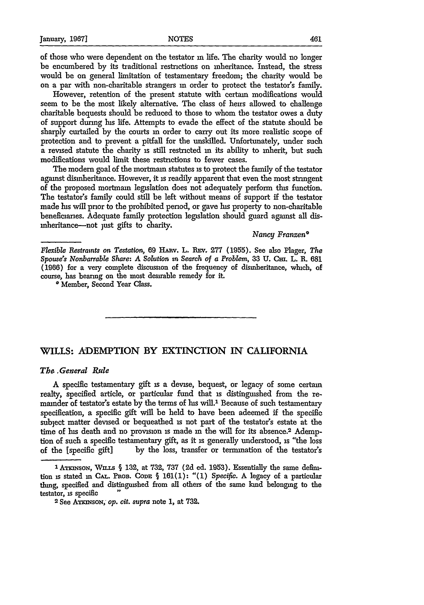of those who were dependent on the testator **in** life. The charity would no longer be encumbered by its traditional restrictions on inheritance. Instead, the stress would be on general limitation of testamentary freedom; the charity would be on a par with non-charitable strangers **in** order to protect the testator's family.

However, retention of the present statute with certain modifications would seem to be the most likely alternative. The class of heirs allowed to challenge charitable bequests should be reduced to those to whom the testator owes a duty of support during his life. Attempts to evade the effect of the statute should be sharply curtailed by the courts **in** order to carry out its more realistic scope of protection and to prevent a pitfall for the unskilled. Unfortunately, under such a revised statute the charity is still restricted **in** its ability to inherit, but such modifications would limit these restrictions to fewer cases.

The modem goal of the mortmain statutes is to protect the family of the testator against disinheritance. However, it is readily apparent that even the most stringent of the proposed mortmain legislation does not adequately perform this function. The testator's family could still be left without means of support **if** the testator made his will prior to the prohibited period, or gave his property to non-charitable beneficiaries. Adequate family protection legislation should guard against all disinheritance-not just gifts to charity.

#### Nancy Franzen\*

**<sup>0</sup>**Member, Second Year Class.

### **WILLS: ADEMPTION BY EXTINCTION IN CALIFORNIA**

#### *The General Rule*

A specific testamentary gift **is** a devise, bequest, or legacy of some certain realty, specified article, or particular fund that is distinguished from the remainder of testator's estate by the terms of his will.<sup>1</sup> Because of such testamentary specification, a specific gift will be held to have been adeemed if the specific subject matter devised or bequeathed is not part of the testator's estate at the time of his death and no provision **is** made **in** the will for its absence.2 Ademption of such a specific testamentary gift, as it is generally understood, **is** "the loss of the [specific gift] by the loss, transfer or termination of the testator's

*Flexible Restraints on Testation,* 69 HAv. L. REv. 277 (1955). See also Plager, *The Spouse's Nonbarrable Share: A Solution* **in** *Search of a Problem,* 33 **U. Cm.** L. R. 681 (1966) for a very complete discussion of the frequency of disinheritance, which, of course, has bearing on the most desirable remedy for it.

**<sup>1</sup> ATKINSON, WILLS § 132, at 732, 737 (2d ed. 1953). Essentially the same defim**tion is stated in CAL. ThoB. **CoDE** § 161(1): "(1) *Specific.* **A** legacy of a particular thing, specified and distinguished from all others of the same kind belonging to the testator, **is** specific

<sup>2</sup>See AT=NsoN; *op. cit. supra* note **1,** at 732.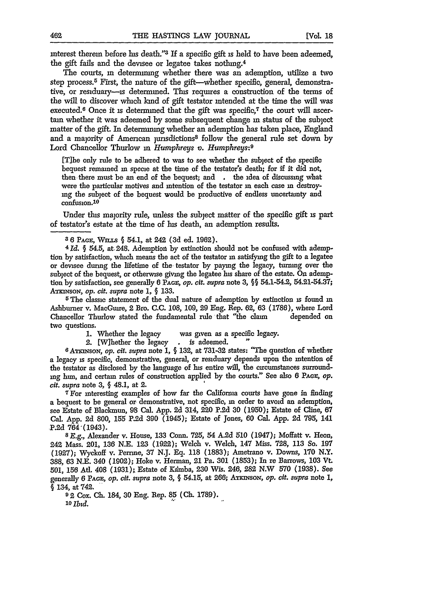interest therein before his death."<sup>3</sup> If a specific gift is held to have been adeemed, the gift fails and the devisee or legatee takes nothmg.4

The courts, **in** determining whether there was an ademption, utilize a two step process.5 First, the nature of the gift-whether specific, general, demonstrafive, or residuary-is determined. This requires a construction of the terms of the will to discover which kind of gift testator intended at the time the will was executed.<sup>6</sup> Once it is determined that the gift was specific,<sup> $\tau$ </sup> the court will ascertain whether it was adeemed by some subsequent change in status of the subject matter of the gift. In determining whether an ademption has taken place, England and a majority of American jurisdictions<sup>8</sup> follow the general rule set down by Lord Chancellor Thurlow in *Humphreys v. Humphreys:9*

[Tihe only rule to be adhered to was to see whether the subject of the specific bequest remained in specie at the time of the testator's death; for if it did not, then there must be an end of the bequest; and **.** the idea of discussing what were the particular motives and intention of the testator in each case in destroying the subject of the bequest would be productive of endless uncertainty and confusion.10

Under this majority rule, unless the subject matter of the specific gift **is** part of testator's estate at the time of his death, an ademption results.

**3** 6 **PAGE,** Wnas § 54.1, at *242* (3d ed. 1962).

*4Id. §* 54.5, at 248. Ademption by extinction should not be confused with ademption by satisfaction, which means the act of the testator *in* satisfying the gift to a legatee or devisee during the lifetime of the testator by paying the legacy, turning over the subject of the bequest, or otherwise giving the legatee his share of the estate. On ademption by satisfaction, see generally **6 PAGc,** *op. cit. supra* note 3, §§ 54.1-54.2, 54.21-54.37; ArxxNsoN, *op. cit. supra* note 1, § 133.

**5** The classic statement of the dual nature of ademption by extinction is found **in** Ashburner v. MacGure, 2 Bro. C.C. 108, 109, 29 Eng. Rep. 62, 63 (1786), where Lord Chancellor Thurlow stated the fumdamental rule that "the claim depended on two questions.

**1.** Whether the legacy was given as a specific legacy.

2. [W]hether the legacy . is adeemed.

*6 ATxNsoN, op. cit. supra* note **1,** § **132,** at 731-32 states: "The question of whether a legacy is specific, demonstrative, general, or residuary depends upon the intention of the testator as disclosed by the language of his entire will, the circumstances surrounding him, and certain rules of construction applied by the courts." See also **6 PAGE,** *op. cit. supra* note 3, § 48.1, at 2.

**7 For** interesting examples of how far the California courts have gone in finding a bequest to be general or demonstrative, not specific, **in** order to avoid an ademption, see Estate of Blackmun, 98 Cal. App. 2d 314, 220 P.2d 30 (1950); Estate of Cline, **67** Cal. App. 2d 800, 155 **P.2d** 390 (1945); Estate of Jones, **60** Cal. App. 2d 795, 141 P.2d 764"(1943).

**s** *E.g.,* Alexander v. House, 133 Conn. 725, 54 A.2d **510** (1947); Moffatt v. Heon, 242 Mass. 201, **136** N.E. **123** (1922); Welch v. Welch, 147 Miss. 728, 113 So. 197 (1927); Wyckoff v. Perrne, **37** N.J. **Eq. 118** (1883); Ametrano v. Downs, **170** N.Y. 388, 63 N.E. 340 (1902); Hoke v. Herman, 21 Pa. **301** (1853); In re Barrows, **103** Vt. 501, **156 Aft.** 408 (1931); Estate of Kdamba, **230** Wis. 246, **282** N.W 570 (1938). See generally 6 *PAGE, op. cit. supra* note 3, § 54.15, at 266; ATrsNsoN, *op. cit. supra* note **1,** § 134, at 742.

**92** Cox. **Ch.** 184, **30** Eng. Rep. **85 (Ch. 1789).** *10* **Ibid.**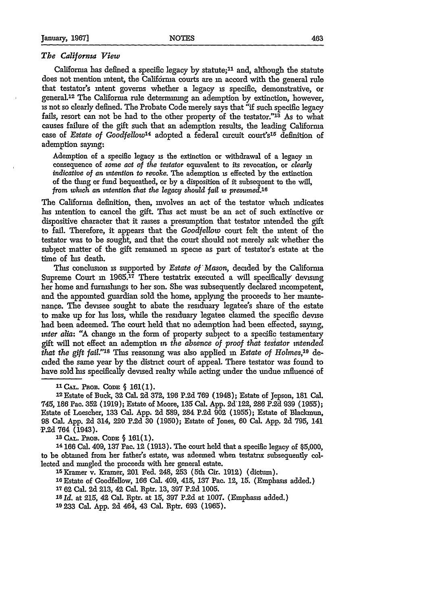#### *The Californi View*

California has defined a specific legacy by statute;<sup>11</sup> and, although the statute does not mention intent, the California courts are in accord with the general rule that testator's intent governs whether a legacy is specific, demonstrative, or general.12 The California rule determining an ademption by extinction, however, is not so clearly defined. The Probate Code merely says that "if such specific legacy fails, resort can not be had to the other property of the testator."<sup>13</sup> As to what causes failure of the gift such that an ademption results, the leading California case of *Estate of Goodfellow*<sup>14</sup> adopted a federal circuit court's<sup>15</sup> definition of ademption saying:

Ademption of a specific legacy is the extinction or withdrawal of a legacy **in** consequence of *some act of the testator* equivalent to its revocation, or *clearly indicative of an intention to revoke.* The ademption is effected **by** the extinction of the thing or fund bequeathed, or by a disposition of it subsequent to the will, *from which an intention that the legacy should fail is presumed.j6*

The California definition, then, involves an act of the testator which indicates his intention to cancel the gift. This act must be an act of such extinctive or dispositive character that it raises a presumption that testator intended the gift to fail. Therefore, it appears that the *Goodfellow* court felt the intent of the testator was to be sought, and that the court should not merely ask whether the subject matter of the gift remained in specie as part of testator's estate at the time of *his* death.

This conclusion is supported **by** *Estate of Mason,* decided **by** the California Supreme Court in 1965.<sup>17</sup> There testatrix executed a will specifically devising her home and furnishings to her son. She was subsequently declared incompetent, and the appointed guardian sold the home, applying the proceeds to her maintenance. The devisee sought to abate the residuary legatee's share of the estate to make up for his loss, while the residuary legatee claimed the specific devise had been adeemed. The court held that no ademption had been effected, saying, *inter alia:* "A change in the form of property subject to a specific testamentary gift will not effect an ademption *in the absence of proof that testator intended that the gift fail.*"<sup>18</sup> This reasoning was also applied in *Estate of Holmes*,<sup>19</sup> decided the same year by the district court of appeal. There testator was found to have sold his specifically devised realty while acting under the undue mfluence of

**11 CA .** PnoB. **CODE** § **161(1).** 12 Estate of **Buck, 32** Cal. **2d** 372, **196** P.2d **769** (1948); Estate of Jepson, **181** Cal. 745, **186** Pac. **352 (1919);** Estate of Moore, **135** Cal. **App. 2d'122, 286 P.2d** 939 **(1955);** Estate of Loescher, **133** Cal. **App. 2d 589,** 284 P.2d **902 (1955);** Estate of Blackmun, 98 Cal. **App. 2d** 314, 220 **P.2d 30 (1950);** Estate of Jones, **60** Cal. **App. 2d** 795, 141 **P.2d** 764 (1943). **13 CA. PRoB. CODE § 161(1).**

**14 166** Cal. 409, **137** Pac. 12 **(1913).** The court held that a specific legacy of **\$5,000,** to be obtained from her father's estate, was adeemed when testatnx subsequently collected and mingled the proceeds with her general estate.<br>15 Kramer v. Kramer, 201 Fed. 248, 253 (5th Cir. 1912) (dictum).

**16** Estate of Goodfellow, **166** Cal. 409, 415, 137 Pac. 12, 15. (Emphasis added.) 17 62 Cal. 2d 213, 42 Cal. Rptr. **13, 397** P.2d 1005.

*<sup>18</sup>Id.* at 215, 42 Cal. Rptr. at **15, 397** P.2d at **1007.** (Emphasis added.)

**19233** Cal. App. 2d 464, 43 Cal. Rptr. 693 (1965).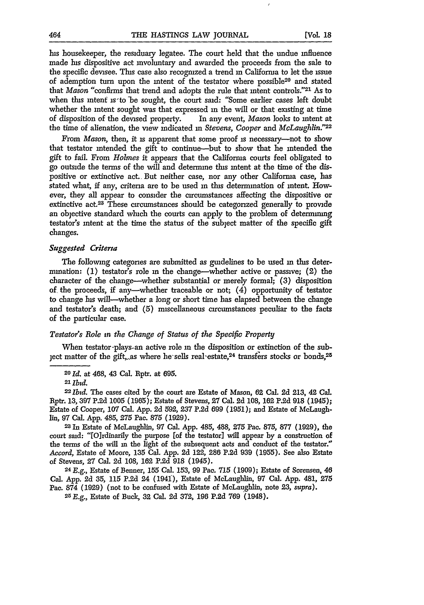his housekeeper, the residuary legatee. The court held that the undue influence made his dispositive act involuntary and awarded the proceeds from the sale to the specific devisee. This case also recognized a trend **in** California to let the issue of ademption turn upon the intent of the testator where possible20 and stated that *Mason* "confirms that trend and adopts the rule that intent controls."<sup>21</sup> As to when this intent is to be sought, the court said: "Some earlier cases left doubt whether the intent sought was that expressed in the will or that existing at time of disposition of the devised property. In any event, *Mason* looks to intent at the time of alienation, the view indicated **in** *Stevens, Cooper and McLaughlin."22*

From *Mason*, then, it is apparent that some proof is necessary—not to show that testator intended the gift to continue-but to show that he intended the gift to fail. From *Holmes* it appears that the Califorma courts feel obligated to go outside the terms of the will and determine this intent at the time of the dispositive or extinctive act., But neither case, nor any other California case, has stated what, if any, criteria are to be used in this determination of intent. However, they all appear to consider the circumstances affecting the dispositive or extinctive act.<sup>23</sup> These circumstances should be categorized generally to provide an objective standard which the courts can apply to the problem of determining testator's intent at the time the status of the subject matter of the specific gift changes.

#### *Suggested Criteria*

The following categories are submitted as gmdelines to be used **in** this determination:  $(1)$  testator's role in the change—whether active or passive;  $(2)$  the character of the change-whether substantial or merely formal; (3) disposition of the proceeds, if any-whether traceable or not; (4) opportunity of testator to change his will-whether a long or short time has elapsed between the change and testator's death; and (5) miscellaneous circumstances peculiar to the facts of the particular case.

#### *Testators Role in the Change of Status of the Specific Property*

When testator-plays-an active role in the disposition or extinction of the subject matter of the gift, as where he sells real-estate,  $24$  transfers stocks or bonds,  $25$ 

22 **Ibzd.** The cases cited **by** the court are Estate of Mason, 62 Cal. 2d 213, 42 Cal. Rptr. 13, **397** P.2d 1005 (1965); Estate of Stevens, **27** Cal. **2d** 108, 162 P.2d 918 (1945); Estate of Cooper, 107 Cal. App. **2d** 592, **237** P.2d 699 (1951); and Estate of McLaughin, 97 Cal. App. 485, **275** Pac. 875 (1929). **<sup>2</sup> <sup>3</sup> In** Estate of McLaughlin, 97 Cal. App. 485, 488, **275** Pac. 875, 877 (1929), the

court said: "[Olrdinarily the purpose [of the testator] will appear **by** a construction of the terms of the will **in** the light of the subsequent acts and conduct of the testator." *Accord,* Estate of Moore, 135 Cal. App. **2d** 122, 286 P.2d 939 (1955). See also Estate

of Stevens, **27** Cal. 2d 108, **162** P.2d 918 (1945). <sup>24</sup>E.g., Estate of Benner, 155 Cal. 153, 99 Pac. 715 (1909); Estate of Sorensen, 46 Cal. App. 2d 35, 115 P.2d 24 (194f), Estate of McLaughlin, 97 Cal. App. 481, **275** Pac. 874 (1929) (not to be confused with Estate of McLaughlin, note 23, *supra).*

**S5** E.g., Estate of Buck, **32** Cal. **2d** 372, 196 P.2d 769 (1948).

**<sup>20</sup>***Id.* at 468, 43 Cal. Rptr. at 695.

**<sup>2-</sup>** *Ibid.*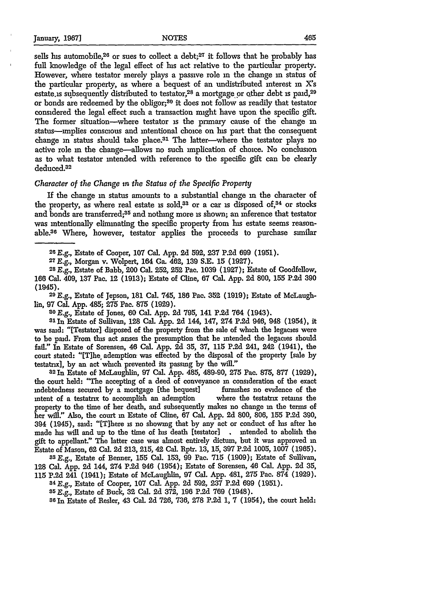sells his automobile,<sup>26</sup> or sues to collect a debt;<sup>27</sup> it follows that he probably has full knowledge of the legal effect of his act relative to the particular property. However, where testator merely plays a passive role m the change in status of the particular property, as where a bequest of an undistributed interest **in** *X's* estate is subsequently distributed to testator,<sup>28</sup> a mortgage or other debt is paid,<sup>29</sup> or bonds are redeemed by the obligor;<sup>30</sup> it does not follow as readily that testator considered the legal effect such a transaction might have upon the specific gift. The former situation-where testator is the primary cause of the change **in** status—implies conscious and intentional choice on his part that the consequent change in status should take place.<sup>31</sup> The latter-where the testator plays no active role **in** the change-allows no such implication of choice. No conclusion as to what testator intended with reference to the specific gift can be clearly deduced.<sup>32</sup>

#### *Character of the Change* **in** *the Status of the Specific Property*

If the change **in** status amounts to a substantial change **in** the character of the property, as where real estate is  $\text{sold},^{33}$  or a car is disposed of, $34$  or stocks and bonds are transferred;<sup>35</sup> and nothing more is shown; an inference that testator was intentionally eliminating the specific property from his estate seems reasonable.<sup>36</sup> Where, however, testator applies the proceeds to purchase similar

**2 <sup>6</sup>***E.g.,* Estate of Cooper, **107** Cal. App. **2d** 592, **237** P.2d **699** (1951). 2

7 E.g., Morgan v. Wolpert, 164 Ga. 462, **139 S.E. 15 (1927).** 28 E.g., Estate of Babb, 200 Cal. 252, **252** Pac. 1039 (1927); Estate of Coodfellow, **166** Cal. 409, **137** Pac. 12 **(1913);** Estate of Cline, **67** Cal. App. **2d** 800, **155** P.2d **390**

(1945). **<sup>29</sup>***E.g.,* Estate of Jepson, 181 **Cal.** 745, **186** Pac. **352 (1919);** Estate of McLaughlin, **97** Cal. **App.** 485; **275** Pac. **875 (1929).**

*30* **E.g.,** Estate of Jones, **60** Cal. **App.** 2d 795, 141 **P.2d** 764 (1943).

**Si** In Estate of Sullivan, **128** Cal. App. **2d** 144, 147, 274 P.2d 946, 948 (1954), it was said: "[Testator] disposed of the property from the sale of which the legacies were to be paid. From this act anses the presumption that he intended the legacies should fail." In Estate of Sorensen, 46 Cal. App. **2d** 35, **37,** 115 P.2d 241, 242 (1941), the court stated: "ITihe, ademption was effected by the disposal of the property [sale **by** testatrix], **by** an act which prevented its passing **by** the will." <sup>3</sup> <sup>2</sup> In Estate of McLaughlin, 97 Cal. App. 485, 489-90, **275** Pac. 875, 877 (1929),

the court held: "The accepting of a deed of conveyance **in** consideration of the exact indebtedness secured **by** a mortgage [the bequest] funishes no evidence of the intent of a testatrix to accomplish an ademption where the testatrix retains the property to the time of her death, and subsequently makes no change **in** the terms of her will." Also, the court in Estate of Cline, **67** Cal. App. **2d** 800, 806, **155** P.2d 390, 394 (1945), said: "[T]here is no showing that by any act or conduct of Ins after he made his will and up to the time of **Is** death [testator] **.** intended to abolish the gift to appellant." The latter case was almost entirely dictum, but it was approved **in** Estate of Mason, 62 Cal. **2d** 213, 215, 42 Cal. Rptr. **13,** 15, **397** P.2d 1005, 1007 (1965).

aS E.g., Estate of Benner, **155** Cal. 153, 99 Pac. **715** (1909); Estate of Sullivan, **128** Cal. App. **2d** 144, 274 **P.2d** 946 (1954); Estate of Sorensen, 46 Cal. App. 2d 35, **115** P.2d 241 (1941); Estate of McLaughlin, 97 Cal. App. 481, 275 Pac. 874 (1929).

**54** E.g., Estate of Cooper, **107** Cal. App. 2d 592, **237** P.2d 699 (1951).

35 E.g., Estate of Buck, **32** Cal. 2d 372, **196** P.2d 769 (1948). <sup>8</sup>

6n Estate of Resler, 43 Cal. **2d** 726, **736,** 278 P.2d **1,** 7 (1954), the court held: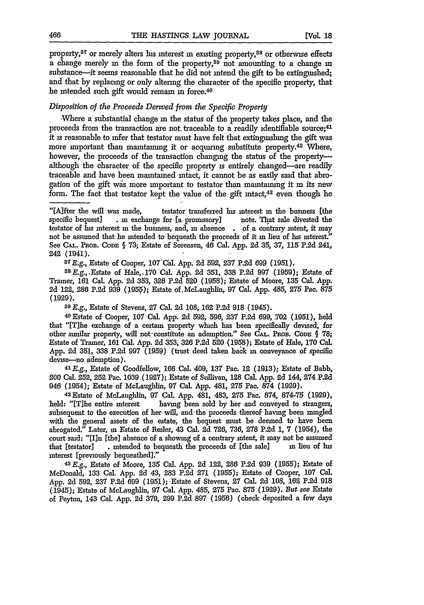property,<sup>37</sup> or merely alters his interest in existing property,<sup>38</sup> or otherwise effects a change merely in the form of the property, $39$  not amounting to a change in substance—it seems reasonable that he did not intend the gift to be extinguished; and that by replacing or only altering the character of the specific property, that he intended such gift would remain in force.<sup>40</sup>

#### *Disposition of the Proceeds Derved from the Specific Property*

Where a substantial change in the status of the property takes place, and the proceeds from the transaction are not traceable to a readily identifiable source; $41$ it is reasonable to infer that testator must have felt that extinguishing the gift was more important than maintaining it or acquiring substitute property.<sup>42</sup> Where, however, the proceeds of the transaction changing the status of the propertyalthough the character of the specific property **is** entirely changed-are readily traceable and have been maintained intact, it cannot be as easily said that abrogation of the gift was more important to testator than maintaining it in its new form. The fact that testator kept the value of the gift intact,<sup>43</sup> even though he

"[Alfter the will was made, testator transferred his interest **in** the business [the specific bequest] . **in** exchange for [a promissory] note. That sale divested the testator of his interest **in** the business, and, **in** absence **.** of a contrary intent, it may not be assumed that he intended to bequeath the proceeds of it in lieu of his interest." See CAL. **PROB. CODE** § 73; Estate of Sorensen, 46 Cal. App. 2d **35,** 37, 115 **P.2d 241,** 242 (1941).

**37E.g.,** Estate of Cooper, 107"Chl. **App. 2d** 592, **237 P.2d** 699 **(1951).**

*<sup>38</sup>***E.g.,** .Estate of Hale,, **170** "Cal. **App. 2d 351, 338 P.2d 997 (1959);** Estate of Trainer, **161** Cal. App. **2d 353, 326 P.2d 520 (1958);** Estate of Moore, **135** Cal. **App. 2d** 122, **286 P.2d 939 (.95 );** Estate of.McLaughlin, **97** Cal. **App.** 485, **275** Pac. **875** (1929).

*39 E.g.,* Estate of Stevens, 27 Cal. 2d 108,162 **P.2d 918** (1945).

40Estate of Cooper, **107** Cal. App. **2d** 592, **596, 237** P.2d 699, **102 (1951),** held that "[T]he exchange of a certain property which has been specifically devised, for other similar property, will not constitute an ademption." See CAL. PROB. CODE § 78; Estate of Trainer, **161** Cal. **App.** 2d **353, 326 P.2d** 520 **(1958);** Estate of Hale, **170** Cal. **App. 2d 351, 338** P.2d **997 (1959)** (trust deed taken back **in** conveyance of specific devise-no ademption).

*41E.g.,* Estate of Coodfellow, **166** Cal. -409, **137** Pac. 12 **(1913);** Estate of Babb, 200 Cal. 252, **252** Pac. **1039.(1927);** Estate of Sullivan, **128** Cal. App. **2id** 144, 274 **P.2d** 946 (1954); Estate of McLaughlin, **97** Cal. **App.** 481, **275** Pac. **874 (1929).**

42Estate of McLaughlin, 97 Cal. App. 481, 483, **275** Pac. 874, 874-75 **(1929),** 'held: "[Tihe entire interest having been sold **by** her and conveyed to strangers, subsequent to the execution of her will, and'the proceeds thereof having been mingled with the general assets of the estate, the bequest must be deemed to have been abrogated." Later, in Estate. of Resler, 43 Gal. **2d** 726, 736, **278 P.2d 1,** 7 (1954), the court said: "[I]n [the] absence of a showing of a contrary intent, it may not be assumed that [testator] . intended to bequeath the proceeds of [the sale] **in** lieu of his

interest [previously bequeathed]." *<sup>43</sup> E.g.,* Estate of Moore, **135** Cal. App. 2d 122, **286 P.2d 939 (1955);** Estate of McDonald, **133** Cal. App. **2d** 43, **283 P.2d 271 (1955);** Estate of Cooper, **107** Cal App. **2d** 592, **237 P.2d** 699 **(1951);** Estate of Stevens, **27** Cal. **2d** 108, **162** P.2d **918** (1945); Estate of McLaughlin, 97 Cal. App. 485, **275** Pac. 875 **(1929).** *But see* Estate of Peyton, 143 Cal. App. 2d 379, 299 P.2d 897 (1956) (check deposited a few days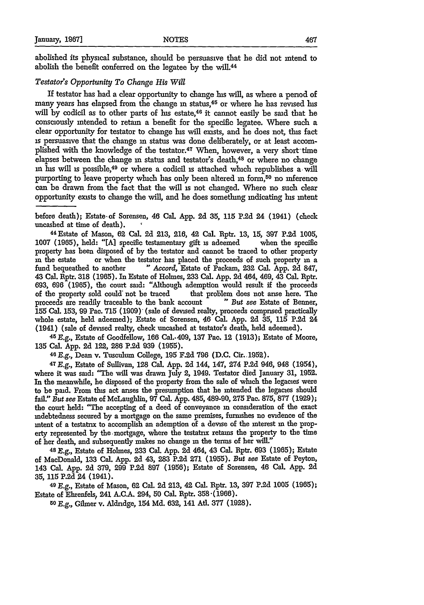abolished its physical substance, should be persuasive that he did not intend to abolish the benefit conferred on the legatee **by** the will.4

#### *Testator's Opportunity To Change His Will*

If testator has had a clear opportunity to change his will, as where a period of many years has elapsed from the change **in** status,45 or where he has revised his will by codicil as to other parts of his estate, $46$  it cannot easily be said that he consciously intended to retain a benefit for the specific legatee. Where such a clear opportunity for testator to change his will exists, and he does not, this fact **is** persuasive that the change **in** status was done deliberately, or at least accomplished with the knowledge of the testator. $47$  When, however, a very short-time elapses between the change in status and testator's death,<sup>48</sup> or where no change **in** his will is possible,49 or where a codicil **is** attached which republishes a will purporting to leave property which has only been altered **in** form,5 O no inference can be drawn from the fact that the will is not changed. Where no such clear opportunity exists to change the will, and he does something indicating his intent

before death); Estate-of Sorensen, 46 Cal. **App. 2d 35, 115** P.2d 24 (1941) (check

uncashed at time of death). 44 Estate of Mason, **62** Cal. 2d **213, 216,** 42 Cal. Rptr. **13, 15, 397** P.2d **1005, 1007 (1965),** held: **"[A]** specific testamentary gift is adeemed when the specific property has been disposed of by the testator and cannot be traced to other property **in** the estate or when the testator has placed the proceeds of such property m a fund bequeathed to another *" Accord,* Estate of Packam, 232 Cal. App. **2d 847,** 43 Cal. Rptr. **318 (1965).** In Estate of Holmes, **233** Cal. App. **2d** 464, 469, 43 Cal. Rptr. 693, **696 (1965),** the court said: "Although ademption would result if the proceeds of the property sold could not be traced that problem does not arise here. The proceeds are readily traceable to the bank account "But see Estate of Benner, proceeds are readily traceable to the bank account **155** Cal. 153, 99 Pac. **715** (1909) (sale of devsed realty, proceeds comprised practically whole estate, held adeemed); Estate of Sorensen, 46 Cal. App. 2d **35,** 115 **P.2d** 24

(1941) (sale of devised realty, check uncashed at testators death, held adeemed). <sup>45</sup> E.g., Estate of Goodfellow, **166** Cal.-409, **137** Pac. 12 **(1913);** Estate of Moore, **135** Cal. App. 2d 122, **286 P.2d 939** (1955).

<sup>46</sup>E.g., Dean v. Tusculun College, **195** F.2d **796** (D.C. Cir. 1952).

*47E.g.,* Estate of Sullivan, **128** Cal. App. 2d 144, 147, 274 P.2d 946, 948 (1954), where it was said: "The will was drawn July 2, 1949. Testator died January **31, 1952.** In the meanwhile, he disposed of the property from the sale of which the legacies were to be paid. From this act arises the presumption that he intended the legacies should *fail."* But *see* Estate of McLaughlin, 97 Cal. App. 485, 489-90, 275 Pac. 875, 877 (1929); the court held: "The accepting of a deed of conveyance in consideration of the exact indebtedness secured by a mortgage on the same premises, furnishes no evidence of the intent of a testatrx to accomplish an ademption of a devise of the interest in the property represented by the mortgage, where the testatnx retains the property to the time of her death, and subsequently makes no change **in** the terms of her will."

*<sup>48</sup>***E.g.,** Estate of Holmes, **233** Cal. **App.** 2d 464, 43 Cal. Rptr. **693** (1965); Estate of MacDonald, **133** Cal. **App.** 2d 43, **283** P.2d **271** (1955). *But see* Estate of Peyton, 143 Cal. App. 2d 379, 299 P.2d 897 (1956); Estate of Sorensen, 46 Cal. App. **2d**

**35,** 115 P.2d 24 (1941). 49 E.g., Estate of Mason, 62 Cal. 2d **213,** 42 Cal. Rptr. **13, 397** P.2d 1005 (1965); Estate of Ehrenfels 241 A.C.A. 294, 50 Cal. Rptr. **358-(1966).**

**<sup>50</sup>***E.g.,* Gilmer v. Aldndge, 154 Md. 632, 141 At. **377** (1928).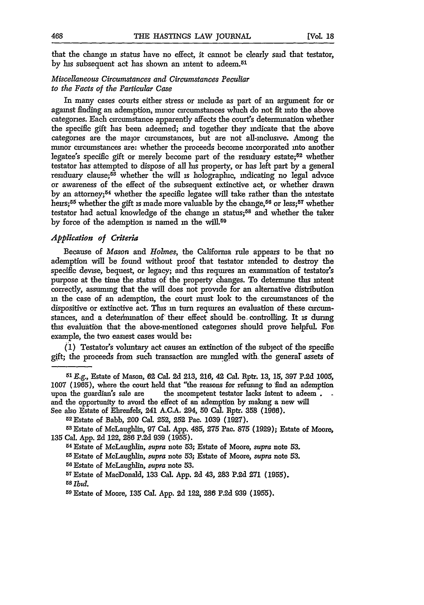that the change **in** status have no effect, it cannot be clearly said that testator, by his subsequent act has shown an intent to adeem.<sup>51</sup>

#### *Miscellaneous Circumstances and Circumstances Peculiar to the Facts of the Particular Case*

In many cases courts either stress or include as part of an argument for or against finding an ademption, minor circumstances which do not fit into the above categories. Each circumstance apparently affects the court's determination whether the specific gift has been adeemed; and together they indicate that the above categories are the major circumstances, but are not all-inclusive. Among the minor circumstances are: whether the proceeds become incorporated into another legatee's specific gift or merely become part of the residuary estate; $52$  whether testator has attempted to dispose of all his property, or has left part by a general residuary clause;<sup>53</sup> whether the will is holographic, indicating no legal advice or awareness of the effect of the subsequent extinctive act, or whether drawn by an attorney;<sup>54</sup> whether the specific legatee will take rather than the intestate heirs;<sup>55</sup> whether the gift is made more valuable by the change,<sup>56</sup> or less;<sup>57</sup> whether testator had actual knowledge of the change in status;<sup>58</sup> and whether the taker by force of the ademption is named in the will.<sup>59</sup>

#### *Application of Criteria*

Because of *Mason and Holmes,* the California rule appears to be that no ademption will be found without proof that testator intended to destroy the specific devise, bequest, or legacy; and this requires an examination of testator's purpose at the time the status of the property changes. To determine this intent correctly, assuming that the will does not provide for an alternative distribution in the case of an ademption, the court must look to the circumstances of the dispositive or extinctive act. This **in** turn requires an evaluation of these circumstances, and a determination of their effect should be controlling. It is during this evaluation that the above-mentioned categories should prove helpful. For. example, the two easiest cases would be:

(1) Testator's voluntary act causes an extinction of the subject of the specific gift; the proceeds from such transaction are mingled with the general assets of

*58 Ibd.*

*<sup>51</sup>*E.g., Estate of Mason, 62 **Cal. 2d 213,** 216, 42 Cal. Rptr. 13, 15, 397 **P.2d** 1005, 1007 (1965), where the court held that "the reasons for refusing to 'find an ademption upon the guardian's sale are the incompetent testator lacks intent to adeem **.** and the opportunity to avoid the effect of an ademption by making a new will See also Estate of Ehrenfels, 241 **A.C.A.** 294, 50 Cal. Rptr. **358 (1966).**

<sup>52</sup>Estate of Babb, 200 Cal. **252, 252** Pac. 1039 (1927).

**<sup>58</sup>**Estate of McLaughlin, 97 Cal. App. 485, **275** Pac. 875 (1929); Estate of Moore, **<sup>135</sup>**Cal. App. **2d** 122, **286 P.2d 939** (1955). <sup>54</sup>Estate of McLaughlin, *supra* note **53;** Estate of Moore, *supra* note **53.**

<sup>5</sup> 5 Estate of McLaughlin, *supra* note **53;** Estate of Moore, *supra* note 53. **<sup>56</sup>**Estate of McLaughlin, *supra* note 53. **<sup>5</sup>**

**<sup>7</sup>** Estate of MacDonald, 133 Cal. App. **2d** 43, 283 P.2d **271** (1955).

**<sup>59</sup>** Estate of Moore, **I35** Cal. App. **2d** 122, **286 P.2d 939 (1955).**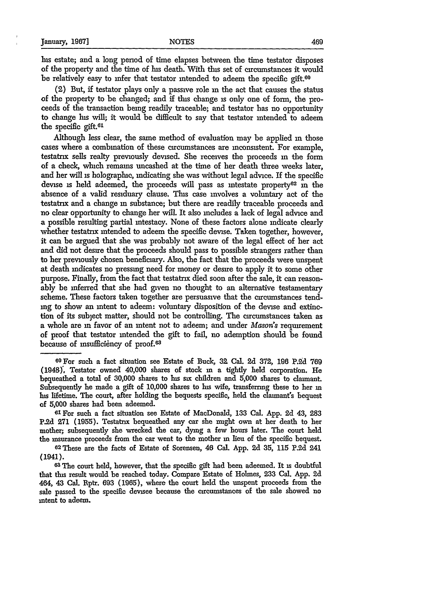his estate; and a long period of time elapses between the time testator disposes of the property and the time of **Ins** death. With this set of circumstances it would be relatively easy to infer that testator intended to adeem the specific gift.<sup>60</sup>

(2) But, if testator plays only a passive role **in** the act that causes the status of the property to be changed; and if this change is only one of form, the proceeds of the transaction being readily traceable; and testator has no opportunity to change his will; it would be difficult to say that testator intended to adeem the specific gift.<sup>61</sup>

Although less clear, the same method of evaluation may be applied **in** those cases where a combination of these circumstances are mconsistent. For example, testatrix sells realty previously devised. She receives the proceeds **in** the form of a check, which remains uncashed at the time of her death three weeks later, and her will is holographic, indicating she was without legal advice. If the specific devise is held adeemed, the proceeds will pass as intestate property<sup>62</sup> in the absence of a valid residuary clause. This case involves a voluntary act of the testatrix and a change **in** substance; but there are readily traceable proceeds and no clear opportunity to change her will. It also includes a lack of legal advice and a possible resulting partial intestacy. None of these factors alone indicate clearly whether testatrix intended to adeem the specific devise. Taken together, however, it can be argued that she was probably not aware of the legal effect of her act and did not desire that the proceeds should pass to possible strangers rather than to her previously chosen beneficiary. Also, the fact that the proceeds were unspent at death indicates no pressing need for money or desire to apply it to some other purpose. Finally, from the fact that testatrix died soon after the sale, it can reasonably be inferred that she had given no thought to an alternative testamentary scheme. These factors taken together are persuasive that the circumstances tending to show an intent to adeem: voluntary disposition of the devise and extinction of its subject matter, should not be controlling. The circumstances taken as a whole are in favor of an intent not to adeem; and under *Mason's* requirement of proof that testator intended the gift to fail, no ademption should be found because of msufficiency of proof.<sup>63</sup>

**<sup>6</sup> <sup>0</sup>**For such a fact situation see Estate of Buck, **32** Cal. **2d 372, 196 P.2d 769** (194&Y. Testator owned 40,000 shares of stock **in** a tightly held corporation. He bpqueathed a total of **30,000** shares to his six children and **5,000** shares to clainant. Subsequently he made a gift of **10,000** shares to his wife, transferring these to her **in** his lifetime. The court, after holding the bequests specific, held the claimant's bequest of 5,000 shares had been adeemed.

**<sup>1</sup> For** such a fact situation see Estate of MacDonald, **133** Cal. App. 2d 43, 283 P.2d 271 (1955). Testatrix bequeathed any car she might own at her death to her mother; subsequently she wrecked the car, dying a few hours later. The court held the insurance proceeds from the car went to the mother in lieu of the specific bequest.<br><sup>62</sup> These are the facts of Estate of Sorensen, 46 Cal. App. 2d 35, 115 P.2d 241

<sup>(1941).</sup> **<sup>6</sup>**

**<sup>3</sup>**The court held, however, that the specific gift had been adeemed. It is doubtful that this result would be reached today. Compare Estate of Holmes, **233** Cal. App. 2d 464, 43 Cal. Rptr. 693 **(1965),** where the court held the unspent proceeds from the sale passed to the specific devisee because the circumstances of the sale showed no intent to adeem.